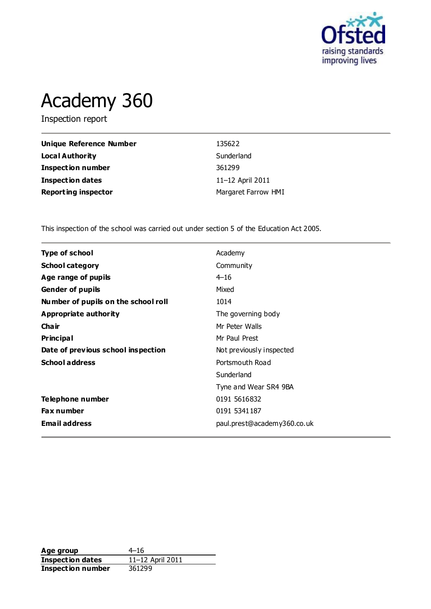

# Academy 360

Inspection report

| Unique Reference Number    | 135622              |
|----------------------------|---------------------|
| <b>Local Authority</b>     | Sunderland          |
| <b>Inspection number</b>   | 361299              |
| <b>Inspection dates</b>    | 11–12 April 2011    |
| <b>Reporting inspector</b> | Margaret Farrow HMI |

This inspection of the school was carried out under section 5 of the Education Act 2005.

| <b>Type of school</b><br>Academy                               |  |
|----------------------------------------------------------------|--|
|                                                                |  |
| <b>School category</b><br>Community                            |  |
| $4 - 16$<br>Age range of pupils                                |  |
| Mixed<br><b>Gender of pupils</b>                               |  |
| Number of pupils on the school roll<br>1014                    |  |
| Appropriate authority<br>The governing body                    |  |
| Cha ir<br>Mr Peter Walls                                       |  |
| <b>Principal</b><br>Mr Paul Prest                              |  |
| Date of previous school inspection<br>Not previously inspected |  |
| <b>School address</b><br>Portsmouth Road                       |  |
| Sunderland                                                     |  |
| Tyne and Wear SR4 9BA                                          |  |
| 0191 5616832<br>Telephone number                               |  |
| <b>Fax number</b><br>0191 5341 187                             |  |
| <b>Email address</b><br>paul.prest@academy360.co.uk            |  |

**Age group** 4–16<br> **Inspection dates** 11–12 April 2011 **Inspection dates** 11–12 April 2011 **Inspection number** 361299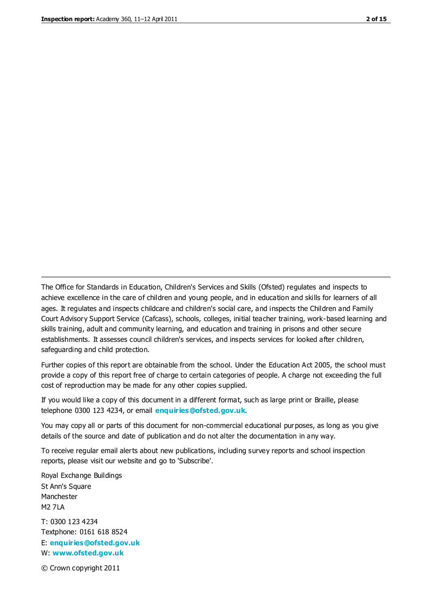The Office for Standards in Education, Children's Services and Skills (Ofsted) regulates and inspects to achieve excellence in the care of children and young people, and in education and skills for learners of all ages. It regulates and inspects childcare and children's social care, and inspects the Children and Family Court Advisory Support Service (Cafcass), schools, colleges, initial teacher training, work-based learning and skills training, adult and community learning, and education and training in prisons and other secure establishments. It assesses council children's services, and inspects services for looked after children, safeguarding and child protection.

Further copies of this report are obtainable from the school. Under the Education Act 2005, the school must provide a copy of this report free of charge to certain categories of people. A charge not exceeding the full cost of reproduction may be made for any other copies supplied.

If you would like a copy of this document in a different format, such as large print or Braille, please telephone 0300 123 4234, or email **[enquiries@ofsted.gov.uk](mailto:enquiries@ofsted.gov.uk)**.

You may copy all or parts of this document for non-commercial educational purposes, as long as you give details of the source and date of publication and do not alter the documentation in any way.

To receive regular email alerts about new publications, including survey reports and school inspection reports, please visit our website and go to 'Subscribe'.

Royal Exchange Buildings St Ann's Square Manchester M2 7LA T: 0300 123 4234 Textphone: 0161 618 8524 E: **[enquiries@ofsted.gov.uk](mailto:enquiries@ofsted.gov.uk)**

W: **[www.ofsted.gov.uk](http://www.ofsted.gov.uk/)**

© Crown copyright 2011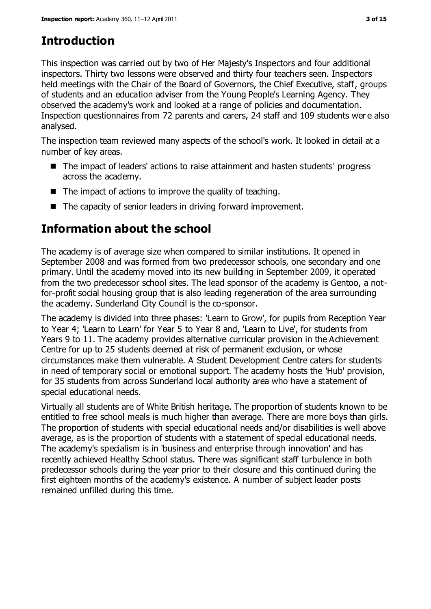# **Introduction**

This inspection was carried out by two of Her Majesty's Inspectors and four additional inspectors. Thirty two lessons were observed and thirty four teachers seen. Inspectors held meetings with the Chair of the Board of Governors, the Chief Executive, staff, groups of students and an education adviser from the Young People's Learning Agency. They observed the academy's work and looked at a range of policies and documentation. Inspection questionnaires from 72 parents and carers, 24 staff and 109 students wer e also analysed.

The inspection team reviewed many aspects of the school's work. It looked in detail at a number of key areas.

- The impact of leaders' actions to raise attainment and hasten students' progress across the academy.
- $\blacksquare$  The impact of actions to improve the quality of teaching.
- The capacity of senior leaders in driving forward improvement.

# **Information about the school**

The academy is of average size when compared to similar institutions. It opened in September 2008 and was formed from two predecessor schools, one secondary and one primary. Until the academy moved into its new building in September 2009, it operated from the two predecessor school sites. The lead sponsor of the academy is Gentoo, a notfor-profit social housing group that is also leading regeneration of the area surrounding the academy. Sunderland City Council is the co-sponsor.

The academy is divided into three phases: 'Learn to Grow', for pupils from Reception Year to Year 4; 'Learn to Learn' for Year 5 to Year 8 and, 'Learn to Live', for students from Years 9 to 11. The academy provides alternative curricular provision in the Achievement Centre for up to 25 students deemed at risk of permanent exclusion, or whose circumstances make them vulnerable. A Student Development Centre caters for students in need of temporary social or emotional support. The academy hosts the 'Hub' provision, for 35 students from across Sunderland local authority area who have a statement of special educational needs.

Virtually all students are of White British heritage. The proportion of students known to be entitled to free school meals is much higher than average. There are more boys than girls. The proportion of students with special educational needs and/or disabilities is well above average, as is the proportion of students with a statement of special educational needs. The academy's specialism is in 'business and enterprise through innovation' and has recently achieved Healthy School status. There was significant staff turbulence in both predecessor schools during the year prior to their closure and this continued during the first eighteen months of the academy's existence. A number of subject leader posts remained unfilled during this time.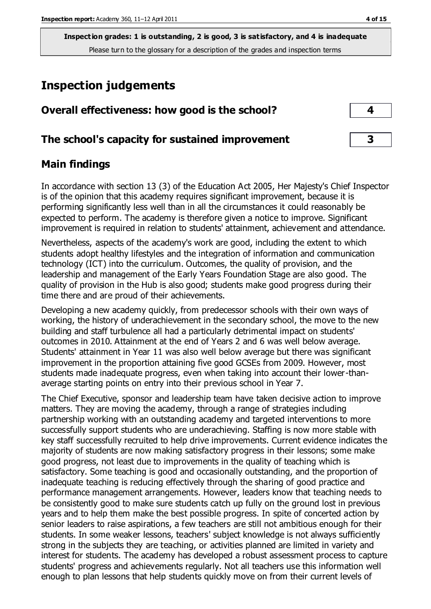# **Inspection judgements**

| Overall effectiveness: how good is the school?  |  |
|-------------------------------------------------|--|
| The school's capacity for sustained improvement |  |

#### **Main findings**

In accordance with section 13 (3) of the Education Act 2005, Her Majesty's Chief Inspector is of the opinion that this academy requires significant improvement, because it is performing significantly less well than in all the circumstances it could reasonably be expected to perform. The academy is therefore given a notice to improve. Significant improvement is required in relation to students' attainment, achievement and attendance.

Nevertheless, aspects of the academy's work are good, including the extent to which students adopt healthy lifestyles and the integration of information and communication technology (ICT) into the curriculum. Outcomes, the quality of provision, and the leadership and management of the Early Years Foundation Stage are also good. The quality of provision in the Hub is also good; students make good progress during their time there and are proud of their achievements.

Developing a new academy quickly, from predecessor schools with their own ways of working, the history of underachievement in the secondary school, the move to the new building and staff turbulence all had a particularly detrimental impact on students' outcomes in 2010. Attainment at the end of Years 2 and 6 was well below average. Students' attainment in Year 11 was also well below average but there was significant improvement in the proportion attaining five good GCSEs from 2009. However, most students made inadequate progress, even when taking into account their lower-thanaverage starting points on entry into their previous school in Year 7.

The Chief Executive, sponsor and leadership team have taken decisive action to improve matters. They are moving the academy, through a range of strategies including partnership working with an outstanding academy and targeted interventions to more successfully support students who are underachieving. Staffing is now more stable with key staff successfully recruited to help drive improvements. Current evidence indicates the majority of students are now making satisfactory progress in their lessons; some make good progress, not least due to improvements in the quality of teaching which is satisfactory. Some teaching is good and occasionally outstanding, and the proportion of inadequate teaching is reducing effectively through the sharing of good practice and performance management arrangements. However, leaders know that teaching needs to be consistently good to make sure students catch up fully on the ground lost in previous years and to help them make the best possible progress. In spite of concerted action by senior leaders to raise aspirations, a few teachers are still not ambitious enough for their students. In some weaker lessons, teachers' subject knowledge is not always sufficiently strong in the subjects they are teaching, or activities planned are limited in variety and interest for students. The academy has developed a robust assessment process to capture students' progress and achievements regularly. Not all teachers use this information well enough to plan lessons that help students quickly move on from their current levels of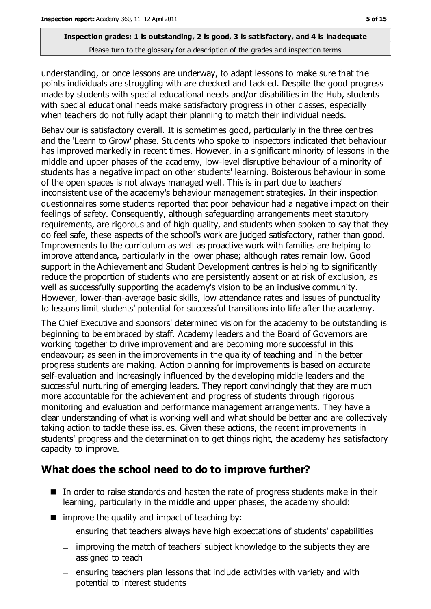understanding, or once lessons are underway, to adapt lessons to make sure that the points individuals are struggling with are checked and tackled. Despite the good progress made by students with special educational needs and/or disabilities in the Hub, students with special educational needs make satisfactory progress in other classes, especially when teachers do not fully adapt their planning to match their individual needs.

Behaviour is satisfactory overall. It is sometimes good, particularly in the three centres and the 'Learn to Grow' phase. Students who spoke to inspectors indicated that behaviour has improved markedly in recent times. However, in a significant minority of lessons in the middle and upper phases of the academy, low-level disruptive behaviour of a minority of students has a negative impact on other students' learning. Boisterous behaviour in some of the open spaces is not always managed well. This is in part due to teachers' inconsistent use of the academy's behaviour management strategies. In their inspection questionnaires some students reported that poor behaviour had a negative impact on their feelings of safety. Consequently, although safeguarding arrangements meet statutory requirements, are rigorous and of high quality, and students when spoken to say that they do feel safe, these aspects of the school's work are judged satisfactory, rather than good. Improvements to the curriculum as well as proactive work with families are helping to improve attendance, particularly in the lower phase; although rates remain low. Good support in the Achievement and Student Development centres is helping to significantly reduce the proportion of students who are persistently absent or at risk of exclusion, as well as successfully supporting the academy's vision to be an inclusive community. However, lower-than-average basic skills, low attendance rates and issues of punctuality to lessons limit students' potential for successful transitions into life after the academy.

The Chief Executive and sponsors' determined vision for the academy to be outstanding is beginning to be embraced by staff. Academy leaders and the Board of Governors are working together to drive improvement and are becoming more successful in this endeavour; as seen in the improvements in the quality of teaching and in the better progress students are making. Action planning for improvements is based on accurate self-evaluation and increasingly influenced by the developing middle leaders and the successful nurturing of emerging leaders. They report convincingly that they are much more accountable for the achievement and progress of students through rigorous monitoring and evaluation and performance management arrangements. They have a clear understanding of what is working well and what should be better and are collectively taking action to tackle these issues. Given these actions, the recent improvements in students' progress and the determination to get things right, the academy has satisfactory capacity to improve.

#### **What does the school need to do to improve further?**

- In order to raise standards and hasten the rate of progress students make in their learning, particularly in the middle and upper phases, the academy should:
- $\blacksquare$  improve the quality and impact of teaching by:
	- $-$  ensuring that teachers always have high expectations of students' capabilities
	- improving the match of teachers' subject knowledge to the subjects they are assigned to teach
	- $-$  ensuring teachers plan lessons that include activities with variety and with potential to interest students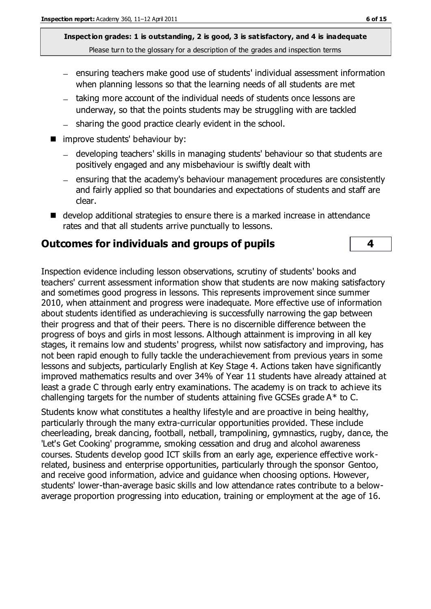- ensuring teachers make good use of students' individual assessment information when planning lessons so that the learning needs of all students are met
- taking more account of the individual needs of students once lessons are underway, so that the points students may be struggling with are tackled
- sharing the good practice clearly evident in the school.
- **n** improve students' behaviour by:
	- developing teachers' skills in managing students' behaviour so that students are positively engaged and any misbehaviour is swiftly dealt with
	- ensuring that the academy's behaviour management procedures are consistently and fairly applied so that boundaries and expectations of students and staff are clear.
- develop additional strategies to ensure there is a marked increase in attendance rates and that all students arrive punctually to lessons.

#### **Outcomes for individuals and groups of pupils 4**

Inspection evidence including lesson observations, scrutiny of students' books and teachers' current assessment information show that students are now making satisfactory and sometimes good progress in lessons. This represents improvement since summer 2010, when attainment and progress were inadequate. More effective use of information about students identified as underachieving is successfully narrowing the gap between their progress and that of their peers. There is no discernible difference between the progress of boys and girls in most lessons. Although attainment is improving in all key stages, it remains low and students' progress, whilst now satisfactory and improving, has not been rapid enough to fully tackle the underachievement from previous years in some lessons and subjects, particularly English at Key Stage 4. Actions taken have significantly improved mathematics results and over 34% of Year 11 students have already attained at least a grade C through early entry examinations. The academy is on track to achieve its challenging targets for the number of students attaining five GCSEs grade A\* to C.

Students know what constitutes a healthy lifestyle and are proactive in being healthy, particularly through the many extra-curricular opportunities provided. These include cheerleading, break dancing, football, netball, trampolining, gymnastics, rugby, dance, the 'Let's Get Cooking' programme, smoking cessation and drug and alcohol awareness courses. Students develop good ICT skills from an early age, experience effective workrelated, business and enterprise opportunities, particularly through the sponsor Gentoo, and receive good information, advice and guidance when choosing options. However, students' lower-than-average basic skills and low attendance rates contribute to a belowaverage proportion progressing into education, training or employment at the age of 16.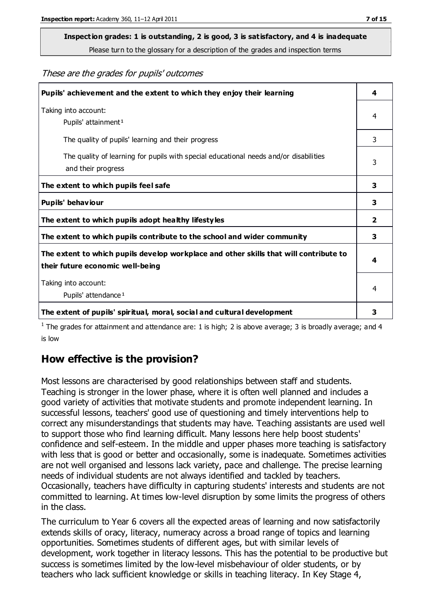# **Inspection grades: 1 is outstanding, 2 is good, 3 is satisfactory, and 4 is inadequate**

Please turn to the glossary for a description of the grades and inspection terms

These are the grades for pupils' outcomes

| Pupils' achievement and the extent to which they enjoy their learning                                                     | 4 |
|---------------------------------------------------------------------------------------------------------------------------|---|
| Taking into account:<br>Pupils' attainment <sup>1</sup>                                                                   | 4 |
| The quality of pupils' learning and their progress                                                                        | 3 |
| The quality of learning for pupils with special educational needs and/or disabilities<br>and their progress               |   |
| The extent to which pupils feel safe                                                                                      | 3 |
| Pupils' behaviour                                                                                                         | 3 |
| The extent to which pupils adopt healthy lifestyles                                                                       | 2 |
| The extent to which pupils contribute to the school and wider community                                                   | 3 |
| The extent to which pupils develop workplace and other skills that will contribute to<br>their future economic well-being |   |
| Taking into account:<br>Pupils' attendance <sup>1</sup>                                                                   |   |
| The extent of pupils' spiritual, moral, social and cultural development                                                   | 3 |

<sup>1</sup> The grades for attainment and attendance are: 1 is high; 2 is above average; 3 is broadly average; and 4 is low

#### **How effective is the provision?**

Most lessons are characterised by good relationships between staff and students. Teaching is stronger in the lower phase, where it is often well planned and includes a good variety of activities that motivate students and promote independent learning. In successful lessons, teachers' good use of questioning and timely interventions help to correct any misunderstandings that students may have. Teaching assistants are used well to support those who find learning difficult. Many lessons here help boost students' confidence and self-esteem. In the middle and upper phases more teaching is satisfactory with less that is good or better and occasionally, some is inadequate. Sometimes activities are not well organised and lessons lack variety, pace and challenge. The precise learning needs of individual students are not always identified and tackled by teachers. Occasionally, teachers have difficulty in capturing students' interests and students are not committed to learning. At times low-level disruption by some limits the progress of others in the class.

The curriculum to Year 6 covers all the expected areas of learning and now satisfactorily extends skills of oracy, literacy, numeracy across a broad range of topics and learning opportunities. Sometimes students of different ages, but with similar levels of development, work together in literacy lessons. This has the potential to be productive but success is sometimes limited by the low-level misbehaviour of older students, or by teachers who lack sufficient knowledge or skills in teaching literacy. In Key Stage 4,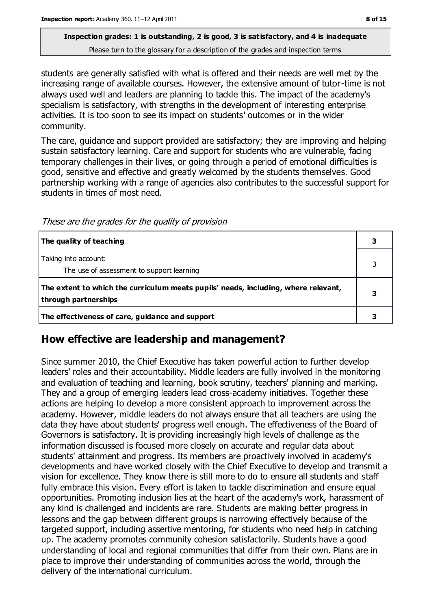students are generally satisfied with what is offered and their needs are well met by the increasing range of available courses. However, the extensive amount of tutor-time is not always used well and leaders are planning to tackle this. The impact of the academy's specialism is satisfactory, with strengths in the development of interesting enterprise activities. It is too soon to see its impact on students' outcomes or in the wider community.

The care, guidance and support provided are satisfactory; they are improving and helping sustain satisfactory learning. Care and support for students who are vulnerable, facing temporary challenges in their lives, or going through a period of emotional difficulties is good, sensitive and effective and greatly welcomed by the students themselves. Good partnership working with a range of agencies also contributes to the successful support for students in times of most need.

These are the grades for the quality of provision

| The quality of teaching                                                                                    |  |
|------------------------------------------------------------------------------------------------------------|--|
| Taking into account:<br>The use of assessment to support learning                                          |  |
| The extent to which the curriculum meets pupils' needs, including, where relevant,<br>through partnerships |  |
| The effectiveness of care, guidance and support                                                            |  |

#### **How effective are leadership and management?**

Since summer 2010, the Chief Executive has taken powerful action to further develop leaders' roles and their accountability. Middle leaders are fully involved in the monitoring and evaluation of teaching and learning, book scrutiny, teachers' planning and marking. They and a group of emerging leaders lead cross-academy initiatives. Together these actions are helping to develop a more consistent approach to improvement across the academy. However, middle leaders do not always ensure that all teachers are using the data they have about students' progress well enough. The effectiveness of the Board of Governors is satisfactory. It is providing increasingly high levels of challenge as the information discussed is focused more closely on accurate and regular data about students' attainment and progress. Its members are proactively involved in academy's developments and have worked closely with the Chief Executive to develop and transmit a vision for excellence. They know there is still more to do to ensure all students and staff fully embrace this vision. Every effort is taken to tackle discrimination and ensure equal opportunities. Promoting inclusion lies at the heart of the academy's work, harassment of any kind is challenged and incidents are rare. Students are making better progress in lessons and the gap between different groups is narrowing effectively because of the targeted support, including assertive mentoring, for students who need help in catching up. The academy promotes community cohesion satisfactorily. Students have a good understanding of local and regional communities that differ from their own. Plans are in place to improve their understanding of communities across the world, through the delivery of the international curriculum.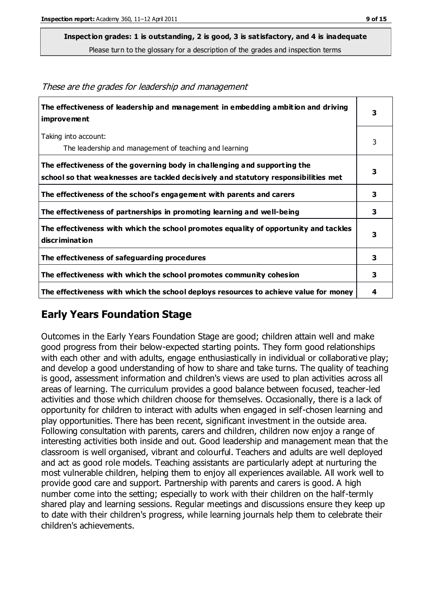These are the grades for leadership and management

**Inspection grades: 1 is outstanding, 2 is good, 3 is satisfactory, and 4 is inadequate**

Please turn to the glossary for a description of the grades and inspection terms

**The effectiveness of leadership and management in embedding ambition and driving improvement 3** Taking into account: The leadership and management of teaching and learning 3 **The effectiveness of the governing body in challenging and supporting the school so that weaknesses are tackled decisively and statutory responsibilities met 3 The effectiveness of the school's engagement with parents and carers 3 The effectiveness of partnerships in promoting learning and well-being 3 The effectiveness with which the school promotes equality of opportunity and tackles discrimination 3 The effectiveness of safeguarding procedures 3 The effectiveness with which the school promotes community cohesion 3 The effectiveness with which the school deploys resources to achieve value for money 4**

#### **Early Years Foundation Stage**

Outcomes in the Early Years Foundation Stage are good; children attain well and make good progress from their below-expected starting points. They form good relationships with each other and with adults, engage enthusiastically in individual or collaborative play; and develop a good understanding of how to share and take turns. The quality of teaching is good, assessment information and children's views are used to plan activities across all areas of learning. The curriculum provides a good balance between focused, teacher-led activities and those which children choose for themselves. Occasionally, there is a lack of opportunity for children to interact with adults when engaged in self-chosen learning and play opportunities. There has been recent, significant investment in the outside area. Following consultation with parents, carers and children, children now enjoy a range of interesting activities both inside and out. Good leadership and management mean that the classroom is well organised, vibrant and colourful. Teachers and adults are well deployed and act as good role models. Teaching assistants are particularly adept at nurturing the most vulnerable children, helping them to enjoy all experiences available. All work well to provide good care and support. Partnership with parents and carers is good. A high number come into the setting; especially to work with their children on the half-termly shared play and learning sessions. Regular meetings and discussions ensure they keep up to date with their children's progress, while learning journals help them to celebrate their children's achievements.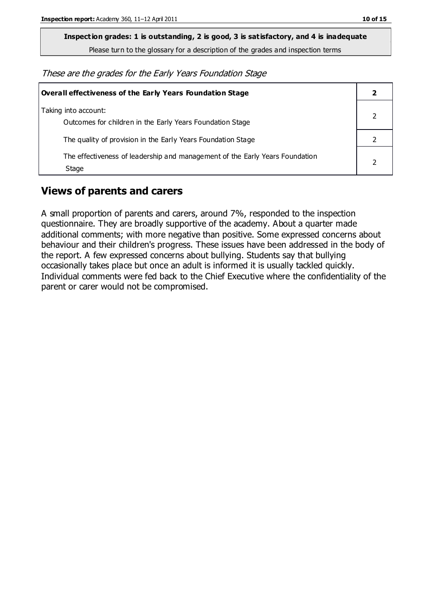**Inspection grades: 1 is outstanding, 2 is good, 3 is satisfactory, and 4 is inadequate**

Please turn to the glossary for a description of the grades and inspection terms

These are the grades for the Early Years Foundation Stage

| <b>Overall effectiveness of the Early Years Foundation Stage</b>                      |  |
|---------------------------------------------------------------------------------------|--|
| Taking into account:<br>Outcomes for children in the Early Years Foundation Stage     |  |
| The quality of provision in the Early Years Foundation Stage                          |  |
| The effectiveness of leadership and management of the Early Years Foundation<br>Stage |  |

#### **Views of parents and carers**

A small proportion of parents and carers, around 7%, responded to the inspection questionnaire. They are broadly supportive of the academy. About a quarter made additional comments; with more negative than positive. Some expressed concerns about behaviour and their children's progress. These issues have been addressed in the body of the report. A few expressed concerns about bullying. Students say that bullying occasionally takes place but once an adult is informed it is usually tackled quickly. Individual comments were fed back to the Chief Executive where the confidentiality of the parent or carer would not be compromised.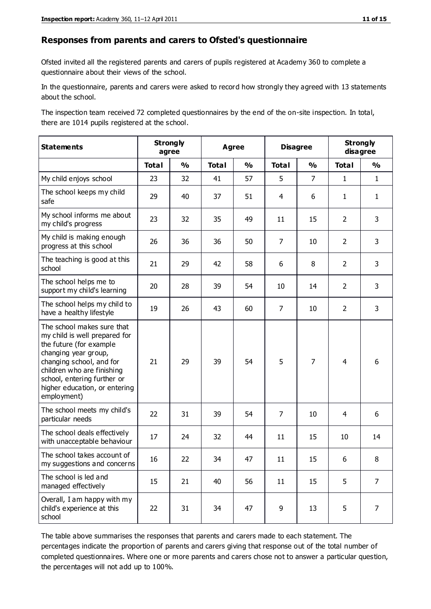#### **Responses from parents and carers to Ofsted's questionnaire**

Ofsted invited all the registered parents and carers of pupils registered at Academy 360 to complete a questionnaire about their views of the school.

In the questionnaire, parents and carers were asked to record how strongly they agreed with 13 statements about the school.

The inspection team received 72 completed questionnaires by the end of the on-site inspection. In total, there are 1014 pupils registered at the school.

| <b>Statements</b>                                                                                                                                                                                                                                       | <b>Strongly</b><br>agree |               | <b>Agree</b> |               | <b>Disagree</b> |                | <b>Strongly</b><br>disagree |                |
|---------------------------------------------------------------------------------------------------------------------------------------------------------------------------------------------------------------------------------------------------------|--------------------------|---------------|--------------|---------------|-----------------|----------------|-----------------------------|----------------|
|                                                                                                                                                                                                                                                         | <b>Total</b>             | $\frac{1}{2}$ | <b>Total</b> | $\frac{0}{0}$ | <b>Total</b>    | $\frac{1}{2}$  | <b>Total</b>                | $\frac{0}{0}$  |
| My child enjoys school                                                                                                                                                                                                                                  | 23                       | 32            | 41           | 57            | 5               | $\overline{7}$ | $\mathbf{1}$                | $\mathbf{1}$   |
| The school keeps my child<br>safe                                                                                                                                                                                                                       | 29                       | 40            | 37           | 51            | 4               | 6              | $\mathbf{1}$                | $\mathbf{1}$   |
| My school informs me about<br>my child's progress                                                                                                                                                                                                       | 23                       | 32            | 35           | 49            | 11              | 15             | $\overline{2}$              | 3              |
| My child is making enough<br>progress at this school                                                                                                                                                                                                    | 26                       | 36            | 36           | 50            | $\overline{7}$  | 10             | $\overline{2}$              | 3              |
| The teaching is good at this<br>school                                                                                                                                                                                                                  | 21                       | 29            | 42           | 58            | 6               | 8              | $\overline{2}$              | 3              |
| The school helps me to<br>support my child's learning                                                                                                                                                                                                   | 20                       | 28            | 39           | 54            | 10              | 14             | $\overline{2}$              | 3              |
| The school helps my child to<br>have a healthy lifestyle                                                                                                                                                                                                | 19                       | 26            | 43           | 60            | $\overline{7}$  | 10             | $\overline{2}$              | 3              |
| The school makes sure that<br>my child is well prepared for<br>the future (for example<br>changing year group,<br>changing school, and for<br>children who are finishing<br>school, entering further or<br>higher education, or entering<br>employment) | 21                       | 29            | 39           | 54            | 5               | $\overline{7}$ | $\overline{4}$              | 6              |
| The school meets my child's<br>particular needs                                                                                                                                                                                                         | 22                       | 31            | 39           | 54            | $\overline{7}$  | 10             | 4                           | 6              |
| The school deals effectively<br>with unacceptable behaviour                                                                                                                                                                                             | 17                       | 24            | 32           | 44            | 11              | 15             | 10                          | 14             |
| The school takes account of<br>my suggestions and concerns                                                                                                                                                                                              | 16                       | 22            | 34           | 47            | 11              | 15             | 6.                          | 8              |
| The school is led and<br>managed effectively                                                                                                                                                                                                            | 15                       | 21            | 40           | 56            | 11              | 15             | 5                           | $\overline{7}$ |
| Overall, I am happy with my<br>child's experience at this<br>school                                                                                                                                                                                     | 22                       | 31            | 34           | 47            | 9               | 13             | 5                           | $\overline{7}$ |

The table above summarises the responses that parents and carers made to each statement. The percentages indicate the proportion of parents and carers giving that response out of the total number of completed questionnaires. Where one or more parents and carers chose not to answer a particular question, the percentages will not add up to 100%.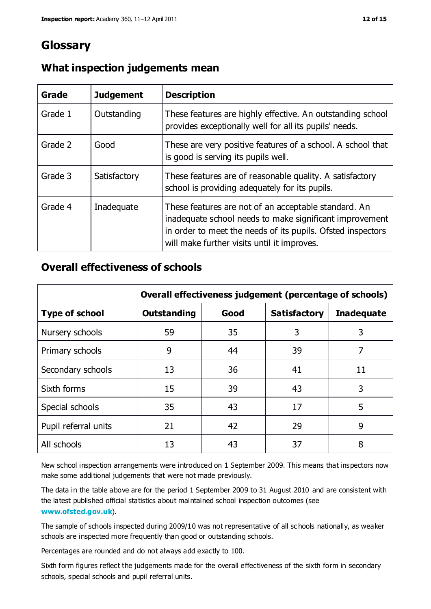### **Glossary**

| Grade   | <b>Judgement</b> | <b>Description</b>                                                                                                                                                                                                            |
|---------|------------------|-------------------------------------------------------------------------------------------------------------------------------------------------------------------------------------------------------------------------------|
| Grade 1 | Outstanding      | These features are highly effective. An outstanding school<br>provides exceptionally well for all its pupils' needs.                                                                                                          |
| Grade 2 | Good             | These are very positive features of a school. A school that<br>is good is serving its pupils well.                                                                                                                            |
| Grade 3 | Satisfactory     | These features are of reasonable quality. A satisfactory<br>school is providing adequately for its pupils.                                                                                                                    |
| Grade 4 | Inadequate       | These features are not of an acceptable standard. An<br>inadequate school needs to make significant improvement<br>in order to meet the needs of its pupils. Ofsted inspectors<br>will make further visits until it improves. |

#### **What inspection judgements mean**

#### **Overall effectiveness of schools**

|                       | Overall effectiveness judgement (percentage of schools) |      |                     |                   |
|-----------------------|---------------------------------------------------------|------|---------------------|-------------------|
| <b>Type of school</b> | <b>Outstanding</b>                                      | Good | <b>Satisfactory</b> | <b>Inadequate</b> |
| Nursery schools       | 59                                                      | 35   | 3                   | 3                 |
| Primary schools       | 9                                                       | 44   | 39                  | 7                 |
| Secondary schools     | 13                                                      | 36   | 41                  | 11                |
| Sixth forms           | 15                                                      | 39   | 43                  | 3                 |
| Special schools       | 35                                                      | 43   | 17                  | 5                 |
| Pupil referral units  | 21                                                      | 42   | 29                  | 9                 |
| All schools           | 13                                                      | 43   | 37                  | 8                 |

New school inspection arrangements were introduced on 1 September 2009. This means that inspectors now make some additional judgements that were not made previously.

The data in the table above are for the period 1 September 2009 to 31 August 2010 and are consistent with the latest published official statistics about maintained school inspection outcomes (see **[www.ofsted.gov.uk](http://www.ofsted.gov.uk/)**).

The sample of schools inspected during 2009/10 was not representative of all sc hools nationally, as weaker schools are inspected more frequently than good or outstanding schools.

Percentages are rounded and do not always add exactly to 100.

Sixth form figures reflect the judgements made for the overall effectiveness of the sixth form in secondary schools, special schools and pupil referral units.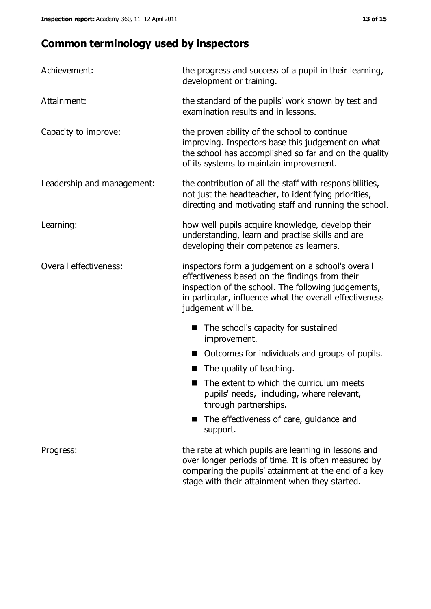# **Common terminology used by inspectors**

| Achievement:               | the progress and success of a pupil in their learning,<br>development or training.                                                                                                                                                          |  |  |
|----------------------------|---------------------------------------------------------------------------------------------------------------------------------------------------------------------------------------------------------------------------------------------|--|--|
| Attainment:                | the standard of the pupils' work shown by test and<br>examination results and in lessons.                                                                                                                                                   |  |  |
| Capacity to improve:       | the proven ability of the school to continue<br>improving. Inspectors base this judgement on what<br>the school has accomplished so far and on the quality<br>of its systems to maintain improvement.                                       |  |  |
| Leadership and management: | the contribution of all the staff with responsibilities,<br>not just the headteacher, to identifying priorities,<br>directing and motivating staff and running the school.                                                                  |  |  |
| Learning:                  | how well pupils acquire knowledge, develop their<br>understanding, learn and practise skills and are<br>developing their competence as learners.                                                                                            |  |  |
| Overall effectiveness:     | inspectors form a judgement on a school's overall<br>effectiveness based on the findings from their<br>inspection of the school. The following judgements,<br>in particular, influence what the overall effectiveness<br>judgement will be. |  |  |
|                            | The school's capacity for sustained<br>improvement.                                                                                                                                                                                         |  |  |
|                            | Outcomes for individuals and groups of pupils.                                                                                                                                                                                              |  |  |
|                            | The quality of teaching.                                                                                                                                                                                                                    |  |  |
|                            | The extent to which the curriculum meets<br>pupils' needs, including, where relevant,<br>through partnerships.                                                                                                                              |  |  |
|                            | The effectiveness of care, guidance and<br>support.                                                                                                                                                                                         |  |  |
| Progress:                  | the rate at which pupils are learning in lessons and<br>over longer periods of time. It is often measured by<br>comparing the pupils' attainment at the end of a key                                                                        |  |  |

stage with their attainment when they started.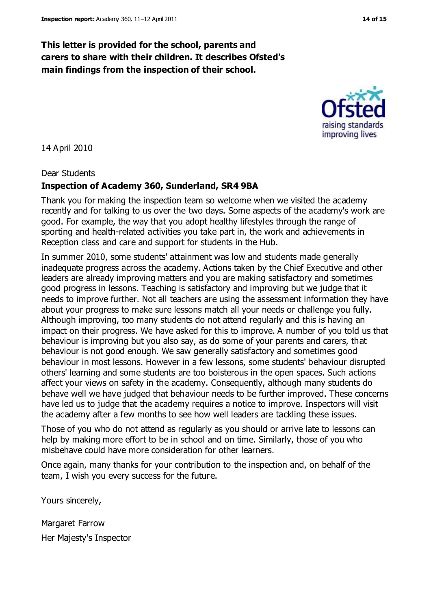#### **This letter is provided for the school, parents and carers to share with their children. It describes Ofsted's main findings from the inspection of their school.**

14 April 2010

Dear Students

#### **Inspection of Academy 360, Sunderland, SR4 9BA**

Thank you for making the inspection team so welcome when we visited the academy recently and for talking to us over the two days. Some aspects of the academy's work are good. For example, the way that you adopt healthy lifestyles through the range of sporting and health-related activities you take part in, the work and achievements in Reception class and care and support for students in the Hub.

In summer 2010, some students' attainment was low and students made generally inadequate progress across the academy. Actions taken by the Chief Executive and other leaders are already improving matters and you are making satisfactory and sometimes good progress in lessons. Teaching is satisfactory and improving but we judge that it needs to improve further. Not all teachers are using the assessment information they have about your progress to make sure lessons match all your needs or challenge you fully. Although improving, too many students do not attend regularly and this is having an impact on their progress. We have asked for this to improve. A number of you told us that behaviour is improving but you also say, as do some of your parents and carers, that behaviour is not good enough. We saw generally satisfactory and sometimes good behaviour in most lessons. However in a few lessons, some students' behaviour disrupted others' learning and some students are too boisterous in the open spaces. Such actions affect your views on safety in the academy. Consequently, although many students do behave well we have judged that behaviour needs to be further improved. These concerns have led us to judge that the academy requires a notice to improve. Inspectors will visit the academy after a few months to see how well leaders are tackling these issues.

Those of you who do not attend as regularly as you should or arrive late to lessons can help by making more effort to be in school and on time. Similarly, those of you who misbehave could have more consideration for other learners.

Once again, many thanks for your contribution to the inspection and, on behalf of the team, I wish you every success for the future.

Yours sincerely,

Margaret Farrow Her Majesty's Inspector